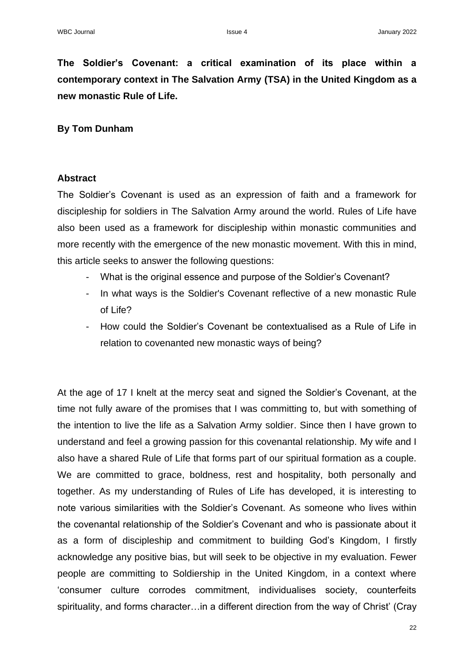**The Soldier's Covenant: a critical examination of its place within a contemporary context in The Salvation Army (TSA) in the United Kingdom as a new monastic Rule of Life.**

## **By Tom Dunham**

## **Abstract**

The Soldier's Covenant is used as an expression of faith and a framework for discipleship for soldiers in The Salvation Army around the world. Rules of Life have also been used as a framework for discipleship within monastic communities and more recently with the emergence of the new monastic movement. With this in mind, this article seeks to answer the following questions:

- What is the original essence and purpose of the Soldier's Covenant?
- In what ways is the Soldier's Covenant reflective of a new monastic Rule of Life?
- How could the Soldier's Covenant be contextualised as a Rule of Life in relation to covenanted new monastic ways of being?

At the age of 17 I knelt at the mercy seat and signed the Soldier's Covenant, at the time not fully aware of the promises that I was committing to, but with something of the intention to live the life as a Salvation Army soldier. Since then I have grown to understand and feel a growing passion for this covenantal relationship. My wife and I also have a shared Rule of Life that forms part of our spiritual formation as a couple. We are committed to grace, boldness, rest and hospitality, both personally and together. As my understanding of Rules of Life has developed, it is interesting to note various similarities with the Soldier's Covenant. As someone who lives within the covenantal relationship of the Soldier's Covenant and who is passionate about it as a form of discipleship and commitment to building God's Kingdom, I firstly acknowledge any positive bias, but will seek to be objective in my evaluation. Fewer people are committing to Soldiership in the United Kingdom, in a context where 'consumer culture corrodes commitment, individualises society, counterfeits spirituality, and forms character…in a different direction from the way of Christ' (Cray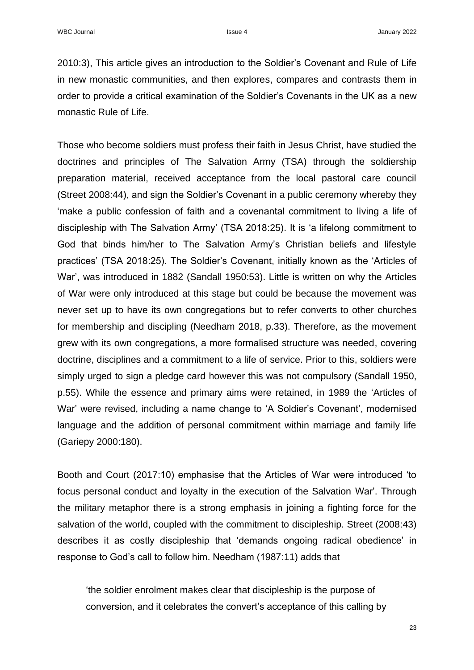2010:3), This article gives an introduction to the Soldier's Covenant and Rule of Life in new monastic communities, and then explores, compares and contrasts them in order to provide a critical examination of the Soldier's Covenants in the UK as a new monastic Rule of Life.

Those who become soldiers must profess their faith in Jesus Christ, have studied the doctrines and principles of The Salvation Army (TSA) through the soldiership preparation material, received acceptance from the local pastoral care council (Street 2008:44), and sign the Soldier's Covenant in a public ceremony whereby they 'make a public confession of faith and a covenantal commitment to living a life of discipleship with The Salvation Army' (TSA 2018:25). It is 'a lifelong commitment to God that binds him/her to The Salvation Army's Christian beliefs and lifestyle practices' (TSA 2018:25). The Soldier's Covenant, initially known as the 'Articles of War', was introduced in 1882 (Sandall 1950:53). Little is written on why the Articles of War were only introduced at this stage but could be because the movement was never set up to have its own congregations but to refer converts to other churches for membership and discipling (Needham 2018, p.33). Therefore, as the movement grew with its own congregations, a more formalised structure was needed, covering doctrine, disciplines and a commitment to a life of service. Prior to this, soldiers were simply urged to sign a pledge card however this was not compulsory (Sandall 1950, p.55). While the essence and primary aims were retained, in 1989 the 'Articles of War' were revised, including a name change to 'A Soldier's Covenant', modernised language and the addition of personal commitment within marriage and family life (Gariepy 2000:180).

Booth and Court (2017:10) emphasise that the Articles of War were introduced 'to focus personal conduct and loyalty in the execution of the Salvation War'. Through the military metaphor there is a strong emphasis in joining a fighting force for the salvation of the world, coupled with the commitment to discipleship. Street (2008:43) describes it as costly discipleship that 'demands ongoing radical obedience' in response to God's call to follow him. Needham (1987:11) adds that

'the soldier enrolment makes clear that discipleship is the purpose of conversion, and it celebrates the convert's acceptance of this calling by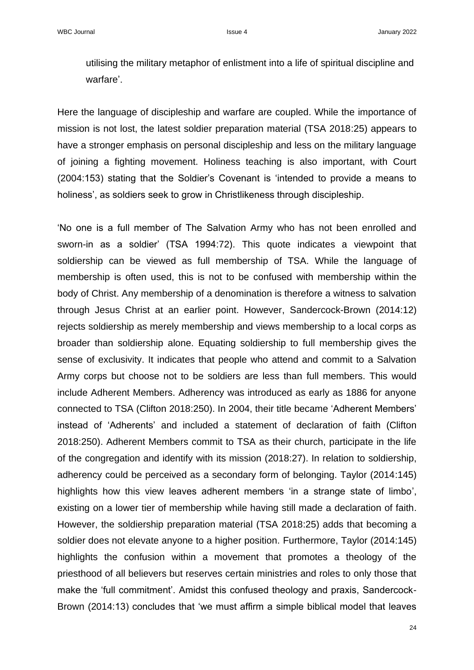utilising the military metaphor of enlistment into a life of spiritual discipline and warfare'.

Here the language of discipleship and warfare are coupled. While the importance of mission is not lost, the latest soldier preparation material (TSA 2018:25) appears to have a stronger emphasis on personal discipleship and less on the military language of joining a fighting movement. Holiness teaching is also important, with Court (2004:153) stating that the Soldier's Covenant is 'intended to provide a means to holiness', as soldiers seek to grow in Christlikeness through discipleship.

'No one is a full member of The Salvation Army who has not been enrolled and sworn-in as a soldier' (TSA 1994:72). This quote indicates a viewpoint that soldiership can be viewed as full membership of TSA. While the language of membership is often used, this is not to be confused with membership within the body of Christ. Any membership of a denomination is therefore a witness to salvation through Jesus Christ at an earlier point. However, Sandercock-Brown (2014:12) rejects soldiership as merely membership and views membership to a local corps as broader than soldiership alone. Equating soldiership to full membership gives the sense of exclusivity. It indicates that people who attend and commit to a Salvation Army corps but choose not to be soldiers are less than full members. This would include Adherent Members. Adherency was introduced as early as 1886 for anyone connected to TSA (Clifton 2018:250). In 2004, their title became 'Adherent Members' instead of 'Adherents' and included a statement of declaration of faith (Clifton 2018:250). Adherent Members commit to TSA as their church, participate in the life of the congregation and identify with its mission (2018:27). In relation to soldiership, adherency could be perceived as a secondary form of belonging. Taylor (2014:145) highlights how this view leaves adherent members 'in a strange state of limbo', existing on a lower tier of membership while having still made a declaration of faith. However, the soldiership preparation material (TSA 2018:25) adds that becoming a soldier does not elevate anyone to a higher position. Furthermore, Taylor (2014:145) highlights the confusion within a movement that promotes a theology of the priesthood of all believers but reserves certain ministries and roles to only those that make the 'full commitment'. Amidst this confused theology and praxis, Sandercock-Brown (2014:13) concludes that 'we must affirm a simple biblical model that leaves

24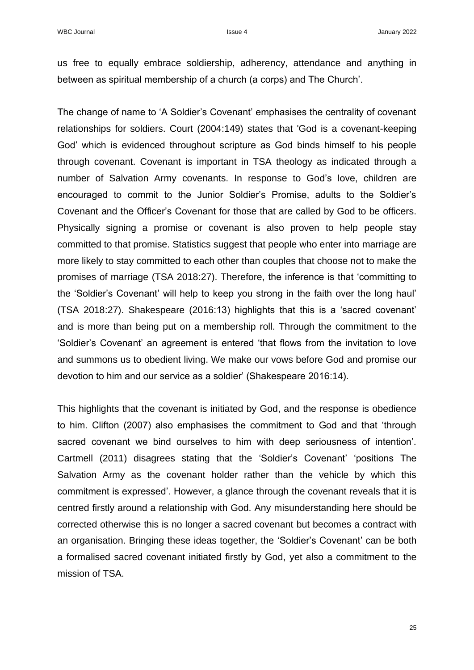us free to equally embrace soldiership, adherency, attendance and anything in between as spiritual membership of a church (a corps) and The Church'.

The change of name to 'A Soldier's Covenant' emphasises the centrality of covenant relationships for soldiers. Court (2004:149) states that 'God is a covenant-keeping God' which is evidenced throughout scripture as God binds himself to his people through covenant. Covenant is important in TSA theology as indicated through a number of Salvation Army covenants. In response to God's love, children are encouraged to commit to the Junior Soldier's Promise, adults to the Soldier's Covenant and the Officer's Covenant for those that are called by God to be officers. Physically signing a promise or covenant is also proven to help people stay committed to that promise. Statistics suggest that people who enter into marriage are more likely to stay committed to each other than couples that choose not to make the promises of marriage (TSA 2018:27). Therefore, the inference is that 'committing to the 'Soldier's Covenant' will help to keep you strong in the faith over the long haul' (TSA 2018:27). Shakespeare (2016:13) highlights that this is a 'sacred covenant' and is more than being put on a membership roll. Through the commitment to the 'Soldier's Covenant' an agreement is entered 'that flows from the invitation to love and summons us to obedient living. We make our vows before God and promise our devotion to him and our service as a soldier' (Shakespeare 2016:14).

This highlights that the covenant is initiated by God, and the response is obedience to him. Clifton (2007) also emphasises the commitment to God and that 'through sacred covenant we bind ourselves to him with deep seriousness of intention'. Cartmell (2011) disagrees stating that the 'Soldier's Covenant' 'positions The Salvation Army as the covenant holder rather than the vehicle by which this commitment is expressed'. However, a glance through the covenant reveals that it is centred firstly around a relationship with God. Any misunderstanding here should be corrected otherwise this is no longer a sacred covenant but becomes a contract with an organisation. Bringing these ideas together, the 'Soldier's Covenant' can be both a formalised sacred covenant initiated firstly by God, yet also a commitment to the mission of TSA.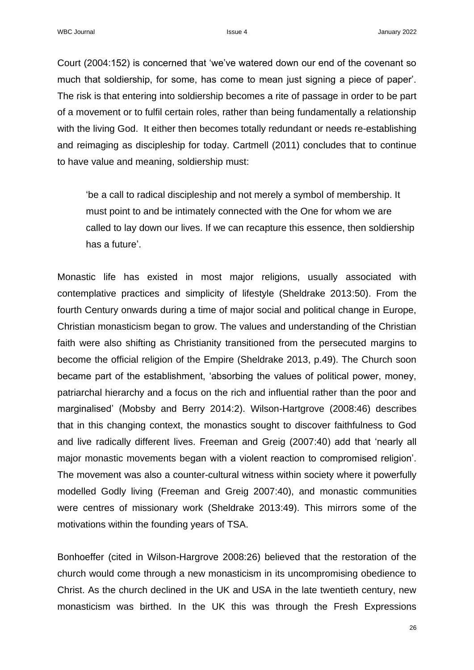Court (2004:152) is concerned that 'we've watered down our end of the covenant so much that soldiership, for some, has come to mean just signing a piece of paper'. The risk is that entering into soldiership becomes a rite of passage in order to be part of a movement or to fulfil certain roles, rather than being fundamentally a relationship with the living God. It either then becomes totally redundant or needs re-establishing and reimaging as discipleship for today. Cartmell (2011) concludes that to continue to have value and meaning, soldiership must:

'be a call to radical discipleship and not merely a symbol of membership. It must point to and be intimately connected with the One for whom we are called to lay down our lives. If we can recapture this essence, then soldiership has a future'.

Monastic life has existed in most major religions, usually associated with contemplative practices and simplicity of lifestyle (Sheldrake 2013:50). From the fourth Century onwards during a time of major social and political change in Europe, Christian monasticism began to grow. The values and understanding of the Christian faith were also shifting as Christianity transitioned from the persecuted margins to become the official religion of the Empire (Sheldrake 2013, p.49). The Church soon became part of the establishment, 'absorbing the values of political power, money, patriarchal hierarchy and a focus on the rich and influential rather than the poor and marginalised' (Mobsby and Berry 2014:2). Wilson-Hartgrove (2008:46) describes that in this changing context, the monastics sought to discover faithfulness to God and live radically different lives. Freeman and Greig (2007:40) add that 'nearly all major monastic movements began with a violent reaction to compromised religion'. The movement was also a counter-cultural witness within society where it powerfully modelled Godly living (Freeman and Greig 2007:40), and monastic communities were centres of missionary work (Sheldrake 2013:49). This mirrors some of the motivations within the founding years of TSA.

Bonhoeffer (cited in Wilson-Hargrove 2008:26) believed that the restoration of the church would come through a new monasticism in its uncompromising obedience to Christ. As the church declined in the UK and USA in the late twentieth century, new monasticism was birthed. In the UK this was through the Fresh Expressions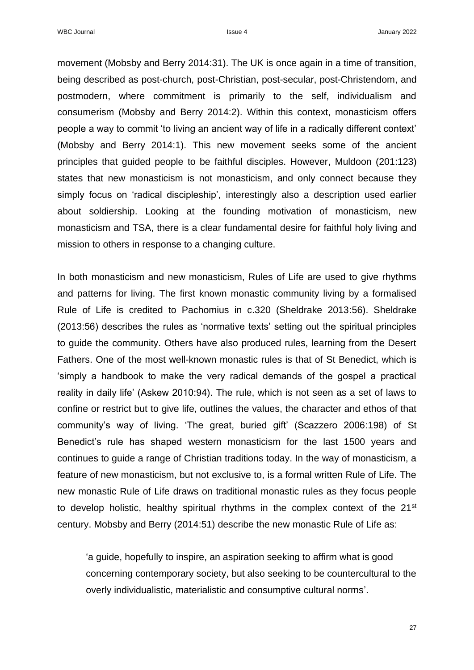movement (Mobsby and Berry 2014:31). The UK is once again in a time of transition, being described as post-church, post-Christian, post-secular, post-Christendom, and postmodern, where commitment is primarily to the self, individualism and consumerism (Mobsby and Berry 2014:2). Within this context, monasticism offers people a way to commit 'to living an ancient way of life in a radically different context' (Mobsby and Berry 2014:1). This new movement seeks some of the ancient principles that guided people to be faithful disciples. However, Muldoon (201:123) states that new monasticism is not monasticism, and only connect because they simply focus on 'radical discipleship', interestingly also a description used earlier about soldiership. Looking at the founding motivation of monasticism, new monasticism and TSA, there is a clear fundamental desire for faithful holy living and mission to others in response to a changing culture.

In both monasticism and new monasticism, Rules of Life are used to give rhythms and patterns for living. The first known monastic community living by a formalised Rule of Life is credited to Pachomius in c.320 (Sheldrake 2013:56). Sheldrake (2013:56) describes the rules as 'normative texts' setting out the spiritual principles to guide the community. Others have also produced rules, learning from the Desert Fathers. One of the most well-known monastic rules is that of St Benedict, which is 'simply a handbook to make the very radical demands of the gospel a practical reality in daily life' (Askew 2010:94). The rule, which is not seen as a set of laws to confine or restrict but to give life, outlines the values, the character and ethos of that community's way of living. 'The great, buried gift' (Scazzero 2006:198) of St Benedict's rule has shaped western monasticism for the last 1500 years and continues to guide a range of Christian traditions today. In the way of monasticism, a feature of new monasticism, but not exclusive to, is a formal written Rule of Life. The new monastic Rule of Life draws on traditional monastic rules as they focus people to develop holistic, healthy spiritual rhythms in the complex context of the 21<sup>st</sup> century. Mobsby and Berry (2014:51) describe the new monastic Rule of Life as:

'a guide, hopefully to inspire, an aspiration seeking to affirm what is good concerning contemporary society, but also seeking to be countercultural to the overly individualistic, materialistic and consumptive cultural norms'.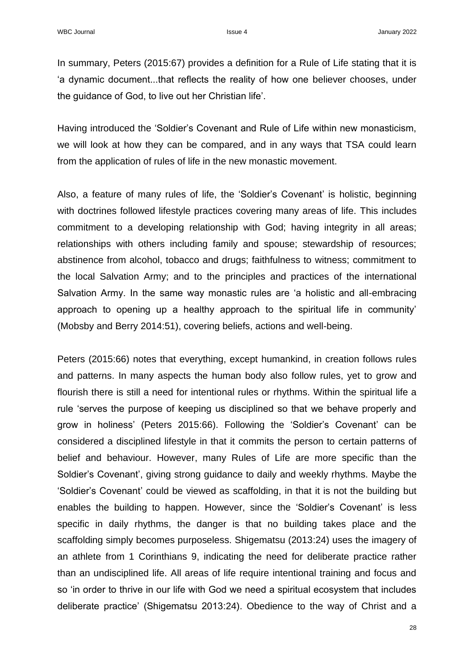In summary, Peters (2015:67) provides a definition for a Rule of Life stating that it is 'a dynamic document...that reflects the reality of how one believer chooses, under the guidance of God, to live out her Christian life'.

Having introduced the 'Soldier's Covenant and Rule of Life within new monasticism, we will look at how they can be compared, and in any ways that TSA could learn from the application of rules of life in the new monastic movement.

Also, a feature of many rules of life, the 'Soldier's Covenant' is holistic, beginning with doctrines followed lifestyle practices covering many areas of life. This includes commitment to a developing relationship with God; having integrity in all areas; relationships with others including family and spouse; stewardship of resources; abstinence from alcohol, tobacco and drugs; faithfulness to witness; commitment to the local Salvation Army; and to the principles and practices of the international Salvation Army. In the same way monastic rules are 'a holistic and all-embracing approach to opening up a healthy approach to the spiritual life in community' (Mobsby and Berry 2014:51), covering beliefs, actions and well-being.

Peters (2015:66) notes that everything, except humankind, in creation follows rules and patterns. In many aspects the human body also follow rules, yet to grow and flourish there is still a need for intentional rules or rhythms. Within the spiritual life a rule 'serves the purpose of keeping us disciplined so that we behave properly and grow in holiness' (Peters 2015:66). Following the 'Soldier's Covenant' can be considered a disciplined lifestyle in that it commits the person to certain patterns of belief and behaviour. However, many Rules of Life are more specific than the Soldier's Covenant', giving strong guidance to daily and weekly rhythms. Maybe the 'Soldier's Covenant' could be viewed as scaffolding, in that it is not the building but enables the building to happen. However, since the 'Soldier's Covenant' is less specific in daily rhythms, the danger is that no building takes place and the scaffolding simply becomes purposeless. Shigematsu (2013:24) uses the imagery of an athlete from 1 Corinthians 9, indicating the need for deliberate practice rather than an undisciplined life. All areas of life require intentional training and focus and so 'in order to thrive in our life with God we need a spiritual ecosystem that includes deliberate practice' (Shigematsu 2013:24). Obedience to the way of Christ and a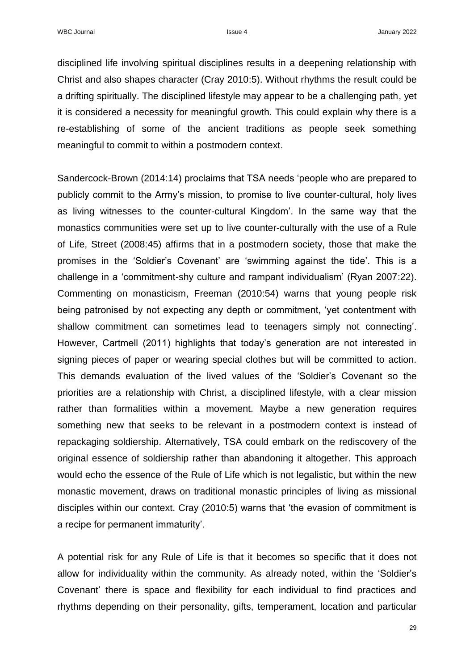disciplined life involving spiritual disciplines results in a deepening relationship with Christ and also shapes character (Cray 2010:5). Without rhythms the result could be a drifting spiritually. The disciplined lifestyle may appear to be a challenging path, yet it is considered a necessity for meaningful growth. This could explain why there is a re-establishing of some of the ancient traditions as people seek something meaningful to commit to within a postmodern context.

Sandercock-Brown (2014:14) proclaims that TSA needs 'people who are prepared to publicly commit to the Army's mission, to promise to live counter-cultural, holy lives as living witnesses to the counter-cultural Kingdom'. In the same way that the monastics communities were set up to live counter-culturally with the use of a Rule of Life, Street (2008:45) affirms that in a postmodern society, those that make the promises in the 'Soldier's Covenant' are 'swimming against the tide'. This is a challenge in a 'commitment-shy culture and rampant individualism' (Ryan 2007:22). Commenting on monasticism, Freeman (2010:54) warns that young people risk being patronised by not expecting any depth or commitment, 'yet contentment with shallow commitment can sometimes lead to teenagers simply not connecting'. However, Cartmell (2011) highlights that today's generation are not interested in signing pieces of paper or wearing special clothes but will be committed to action. This demands evaluation of the lived values of the 'Soldier's Covenant so the priorities are a relationship with Christ, a disciplined lifestyle, with a clear mission rather than formalities within a movement. Maybe a new generation requires something new that seeks to be relevant in a postmodern context is instead of repackaging soldiership. Alternatively, TSA could embark on the rediscovery of the original essence of soldiership rather than abandoning it altogether. This approach would echo the essence of the Rule of Life which is not legalistic, but within the new monastic movement, draws on traditional monastic principles of living as missional disciples within our context. Cray (2010:5) warns that 'the evasion of commitment is a recipe for permanent immaturity'.

A potential risk for any Rule of Life is that it becomes so specific that it does not allow for individuality within the community. As already noted, within the 'Soldier's Covenant' there is space and flexibility for each individual to find practices and rhythms depending on their personality, gifts, temperament, location and particular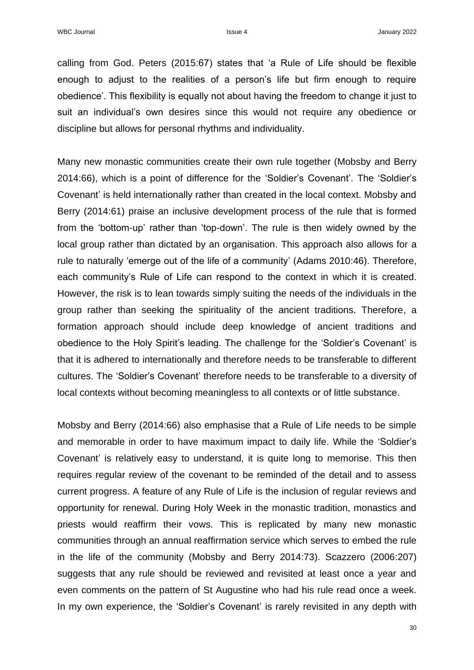calling from God. Peters (2015:67) states that 'a Rule of Life should be flexible enough to adjust to the realities of a person's life but firm enough to require obedience'. This flexibility is equally not about having the freedom to change it just to suit an individual's own desires since this would not require any obedience or discipline but allows for personal rhythms and individuality.

Many new monastic communities create their own rule together (Mobsby and Berry 2014:66), which is a point of difference for the 'Soldier's Covenant'. The 'Soldier's Covenant' is held internationally rather than created in the local context. Mobsby and Berry (2014:61) praise an inclusive development process of the rule that is formed from the 'bottom-up' rather than 'top-down'. The rule is then widely owned by the local group rather than dictated by an organisation. This approach also allows for a rule to naturally 'emerge out of the life of a community' (Adams 2010:46). Therefore, each community's Rule of Life can respond to the context in which it is created. However, the risk is to lean towards simply suiting the needs of the individuals in the group rather than seeking the spirituality of the ancient traditions. Therefore, a formation approach should include deep knowledge of ancient traditions and obedience to the Holy Spirit's leading. The challenge for the 'Soldier's Covenant' is that it is adhered to internationally and therefore needs to be transferable to different cultures. The 'Soldier's Covenant' therefore needs to be transferable to a diversity of local contexts without becoming meaningless to all contexts or of little substance.

Mobsby and Berry (2014:66) also emphasise that a Rule of Life needs to be simple and memorable in order to have maximum impact to daily life. While the 'Soldier's Covenant' is relatively easy to understand, it is quite long to memorise. This then requires regular review of the covenant to be reminded of the detail and to assess current progress. A feature of any Rule of Life is the inclusion of regular reviews and opportunity for renewal. During Holy Week in the monastic tradition, monastics and priests would reaffirm their vows. This is replicated by many new monastic communities through an annual reaffirmation service which serves to embed the rule in the life of the community (Mobsby and Berry 2014:73). Scazzero (2006:207) suggests that any rule should be reviewed and revisited at least once a year and even comments on the pattern of St Augustine who had his rule read once a week. In my own experience, the 'Soldier's Covenant' is rarely revisited in any depth with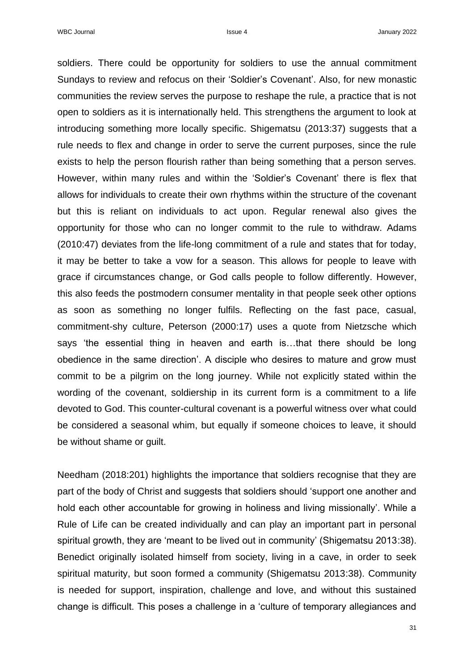soldiers. There could be opportunity for soldiers to use the annual commitment Sundays to review and refocus on their 'Soldier's Covenant'. Also, for new monastic communities the review serves the purpose to reshape the rule, a practice that is not open to soldiers as it is internationally held. This strengthens the argument to look at introducing something more locally specific. Shigematsu (2013:37) suggests that a rule needs to flex and change in order to serve the current purposes, since the rule exists to help the person flourish rather than being something that a person serves. However, within many rules and within the 'Soldier's Covenant' there is flex that allows for individuals to create their own rhythms within the structure of the covenant but this is reliant on individuals to act upon. Regular renewal also gives the opportunity for those who can no longer commit to the rule to withdraw. Adams (2010:47) deviates from the life-long commitment of a rule and states that for today, it may be better to take a vow for a season. This allows for people to leave with grace if circumstances change, or God calls people to follow differently. However, this also feeds the postmodern consumer mentality in that people seek other options as soon as something no longer fulfils. Reflecting on the fast pace, casual, commitment-shy culture, Peterson (2000:17) uses a quote from Nietzsche which says 'the essential thing in heaven and earth is…that there should be long obedience in the same direction'. A disciple who desires to mature and grow must commit to be a pilgrim on the long journey. While not explicitly stated within the wording of the covenant, soldiership in its current form is a commitment to a life devoted to God. This counter-cultural covenant is a powerful witness over what could be considered a seasonal whim, but equally if someone choices to leave, it should be without shame or guilt.

Needham (2018:201) highlights the importance that soldiers recognise that they are part of the body of Christ and suggests that soldiers should 'support one another and hold each other accountable for growing in holiness and living missionally'. While a Rule of Life can be created individually and can play an important part in personal spiritual growth, they are 'meant to be lived out in community' (Shigematsu 2013:38). Benedict originally isolated himself from society, living in a cave, in order to seek spiritual maturity, but soon formed a community (Shigematsu 2013:38). Community is needed for support, inspiration, challenge and love, and without this sustained change is difficult. This poses a challenge in a 'culture of temporary allegiances and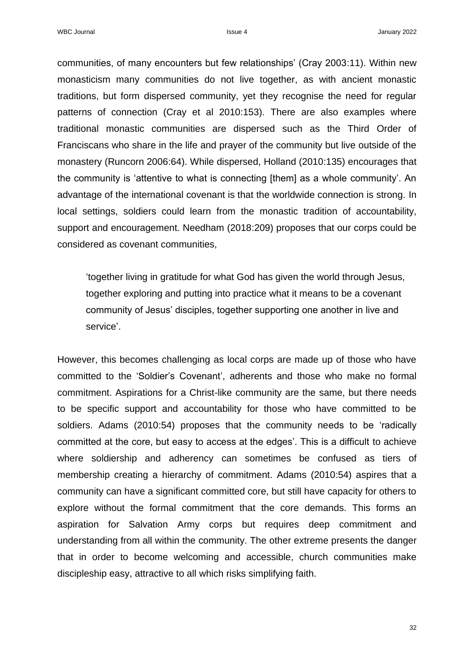communities, of many encounters but few relationships' (Cray 2003:11). Within new monasticism many communities do not live together, as with ancient monastic traditions, but form dispersed community, yet they recognise the need for regular patterns of connection (Cray et al 2010:153). There are also examples where traditional monastic communities are dispersed such as the Third Order of Franciscans who share in the life and prayer of the community but live outside of the monastery (Runcorn 2006:64). While dispersed, Holland (2010:135) encourages that the community is 'attentive to what is connecting [them] as a whole community'. An advantage of the international covenant is that the worldwide connection is strong. In local settings, soldiers could learn from the monastic tradition of accountability, support and encouragement. Needham (2018:209) proposes that our corps could be considered as covenant communities,

'together living in gratitude for what God has given the world through Jesus, together exploring and putting into practice what it means to be a covenant community of Jesus' disciples, together supporting one another in live and service'.

However, this becomes challenging as local corps are made up of those who have committed to the 'Soldier's Covenant', adherents and those who make no formal commitment. Aspirations for a Christ-like community are the same, but there needs to be specific support and accountability for those who have committed to be soldiers. Adams (2010:54) proposes that the community needs to be 'radically committed at the core, but easy to access at the edges'. This is a difficult to achieve where soldiership and adherency can sometimes be confused as tiers of membership creating a hierarchy of commitment. Adams (2010:54) aspires that a community can have a significant committed core, but still have capacity for others to explore without the formal commitment that the core demands. This forms an aspiration for Salvation Army corps but requires deep commitment and understanding from all within the community. The other extreme presents the danger that in order to become welcoming and accessible, church communities make discipleship easy, attractive to all which risks simplifying faith.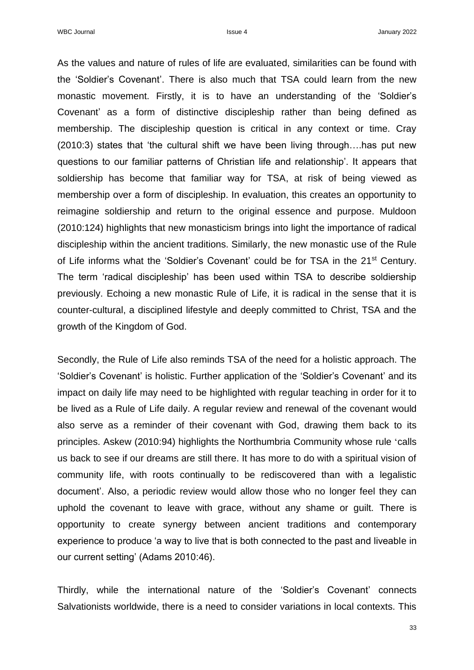As the values and nature of rules of life are evaluated, similarities can be found with the 'Soldier's Covenant'. There is also much that TSA could learn from the new monastic movement. Firstly, it is to have an understanding of the 'Soldier's Covenant' as a form of distinctive discipleship rather than being defined as membership. The discipleship question is critical in any context or time. Cray (2010:3) states that 'the cultural shift we have been living through….has put new questions to our familiar patterns of Christian life and relationship'. It appears that soldiership has become that familiar way for TSA, at risk of being viewed as membership over a form of discipleship. In evaluation, this creates an opportunity to reimagine soldiership and return to the original essence and purpose. Muldoon (2010:124) highlights that new monasticism brings into light the importance of radical discipleship within the ancient traditions. Similarly, the new monastic use of the Rule of Life informs what the 'Soldier's Covenant' could be for TSA in the 21<sup>st</sup> Century. The term 'radical discipleship' has been used within TSA to describe soldiership previously. Echoing a new monastic Rule of Life, it is radical in the sense that it is counter-cultural, a disciplined lifestyle and deeply committed to Christ, TSA and the growth of the Kingdom of God.

Secondly, the Rule of Life also reminds TSA of the need for a holistic approach. The 'Soldier's Covenant' is holistic. Further application of the 'Soldier's Covenant' and its impact on daily life may need to be highlighted with regular teaching in order for it to be lived as a Rule of Life daily. A regular review and renewal of the covenant would also serve as a reminder of their covenant with God, drawing them back to its principles. Askew (2010:94) highlights the Northumbria Community whose rule 'calls us back to see if our dreams are still there. It has more to do with a spiritual vision of community life, with roots continually to be rediscovered than with a legalistic document'. Also, a periodic review would allow those who no longer feel they can uphold the covenant to leave with grace, without any shame or guilt. There is opportunity to create synergy between ancient traditions and contemporary experience to produce 'a way to live that is both connected to the past and liveable in our current setting' (Adams 2010:46).

Thirdly, while the international nature of the 'Soldier's Covenant' connects Salvationists worldwide, there is a need to consider variations in local contexts. This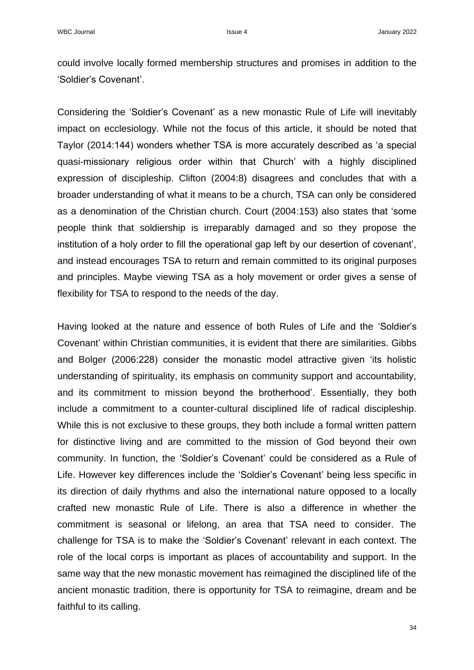could involve locally formed membership structures and promises in addition to the 'Soldier's Covenant'.

Considering the 'Soldier's Covenant' as a new monastic Rule of Life will inevitably impact on ecclesiology. While not the focus of this article, it should be noted that Taylor (2014:144) wonders whether TSA is more accurately described as 'a special quasi-missionary religious order within that Church' with a highly disciplined expression of discipleship. Clifton (2004:8) disagrees and concludes that with a broader understanding of what it means to be a church, TSA can only be considered as a denomination of the Christian church. Court (2004:153) also states that 'some people think that soldiership is irreparably damaged and so they propose the institution of a holy order to fill the operational gap left by our desertion of covenant', and instead encourages TSA to return and remain committed to its original purposes and principles. Maybe viewing TSA as a holy movement or order gives a sense of flexibility for TSA to respond to the needs of the day.

Having looked at the nature and essence of both Rules of Life and the 'Soldier's Covenant' within Christian communities, it is evident that there are similarities. Gibbs and Bolger (2006:228) consider the monastic model attractive given 'its holistic understanding of spirituality, its emphasis on community support and accountability, and its commitment to mission beyond the brotherhood'. Essentially, they both include a commitment to a counter-cultural disciplined life of radical discipleship. While this is not exclusive to these groups, they both include a formal written pattern for distinctive living and are committed to the mission of God beyond their own community. In function, the 'Soldier's Covenant' could be considered as a Rule of Life. However key differences include the 'Soldier's Covenant' being less specific in its direction of daily rhythms and also the international nature opposed to a locally crafted new monastic Rule of Life. There is also a difference in whether the commitment is seasonal or lifelong, an area that TSA need to consider. The challenge for TSA is to make the 'Soldier's Covenant' relevant in each context. The role of the local corps is important as places of accountability and support. In the same way that the new monastic movement has reimagined the disciplined life of the ancient monastic tradition, there is opportunity for TSA to reimagine, dream and be faithful to its calling.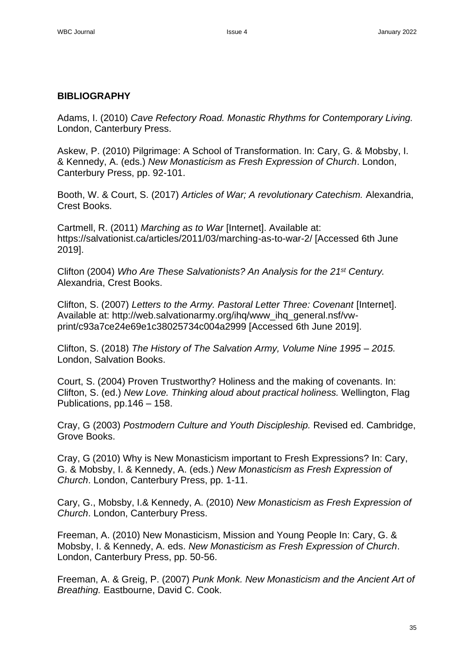## **BIBLIOGRAPHY**

Adams, I. (2010) *Cave Refectory Road. Monastic Rhythms for Contemporary Living.*  London, Canterbury Press.

Askew, P. (2010) Pilgrimage: A School of Transformation. In: Cary, G. & Mobsby, I. & Kennedy, A. (eds.) *New Monasticism as Fresh Expression of Church*. London, Canterbury Press, pp. 92-101.

Booth, W. & Court, S. (2017) *Articles of War; A revolutionary Catechism.* Alexandria, Crest Books.

Cartmell, R. (2011) *Marching as to War* [Internet]. Available at: https://salvationist.ca/articles/2011/03/marching-as-to-war-2/ [Accessed 6th June 2019].

Clifton (2004) *Who Are These Salvationists? An Analysis for the 21st Century.*  Alexandria, Crest Books.

Clifton, S. (2007) *Letters to the Army. Pastoral Letter Three: Covenant* [Internet]. Available at: http://web.salvationarmy.org/ihq/www\_ihq\_general.nsf/vwprint/c93a7ce24e69e1c38025734c004a2999 [Accessed 6th June 2019].

Clifton, S. (2018) *The History of The Salvation Army, Volume Nine 1995 – 2015.* London, Salvation Books.

Court, S. (2004) Proven Trustworthy? Holiness and the making of covenants. In: Clifton, S. (ed.) *New Love. Thinking aloud about practical holiness.* Wellington, Flag Publications, pp.146 – 158.

Cray, G (2003) *Postmodern Culture and Youth Discipleship.* Revised ed. Cambridge, Grove Books.

Cray, G (2010) Why is New Monasticism important to Fresh Expressions? In: Cary, G. & Mobsby, I. & Kennedy, A. (eds.) *New Monasticism as Fresh Expression of Church*. London, Canterbury Press, pp. 1-11.

Cary, G., Mobsby, I.& Kennedy, A. (2010) *New Monasticism as Fresh Expression of Church*. London, Canterbury Press.

Freeman, A. (2010) New Monasticism, Mission and Young People In: Cary, G. & Mobsby, I. & Kennedy, A. eds. *New Monasticism as Fresh Expression of Church*. London, Canterbury Press, pp. 50-56.

Freeman, A. & Greig, P. (2007) *Punk Monk. New Monasticism and the Ancient Art of Breathing.* Eastbourne, David C. Cook.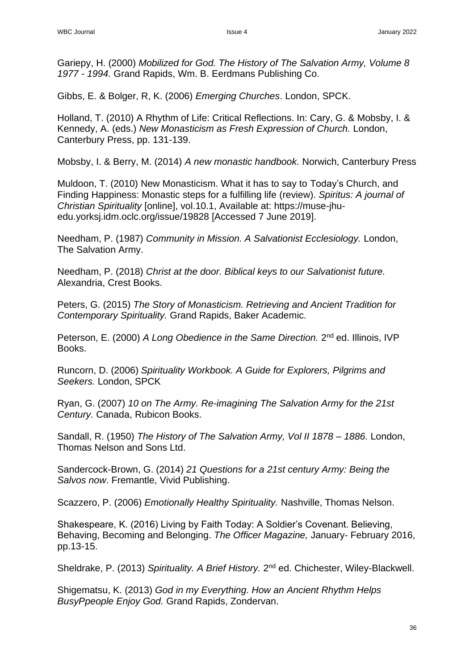Gariepy, H. (2000) *Mobilized for God. The History of The Salvation Army, Volume 8 1977 - 1994.* Grand Rapids, Wm. B. Eerdmans Publishing Co.

Gibbs, E. & Bolger, R, K. (2006) *Emerging Churches*. London, SPCK.

Holland, T. (2010) A Rhythm of Life: Critical Reflections. In: Cary, G. & Mobsby, I. & Kennedy, A. (eds.) *New Monasticism as Fresh Expression of Church.* London, Canterbury Press, pp. 131-139.

Mobsby, I. & Berry, M. (2014) *A new monastic handbook.* Norwich, Canterbury Press

Muldoon, T. (2010) New Monasticism. What it has to say to Today's Church, and Finding Happiness: Monastic steps for a fulfilling life (review). *Spiritus: A journal of Christian Spirituality* [online], vol.10.1, Available at: https://muse-jhuedu.yorksj.idm.oclc.org/issue/19828 [Accessed 7 June 2019].

Needham, P. (1987) *Community in Mission. A Salvationist Ecclesiology.* London, The Salvation Army.

Needham, P. (2018) *Christ at the door. Biblical keys to our Salvationist future.* Alexandria, Crest Books.

Peters, G. (2015) *The Story of Monasticism. Retrieving and Ancient Tradition for Contemporary Spirituality.* Grand Rapids, Baker Academic.

Peterson, E. (2000) A Long Obedience in the Same Direction. 2<sup>nd</sup> ed. Illinois, IVP Books.

Runcorn, D. (2006) *Spirituality Workbook. A Guide for Explorers, Pilgrims and Seekers.* London, SPCK

Ryan, G. (2007) *10 on The Army. Re-imagining The Salvation Army for the 21st Century.* Canada, Rubicon Books.

Sandall, R. (1950) *The History of The Salvation Army, Vol II 1878 – 1886.* London, Thomas Nelson and Sons Ltd.

Sandercock-Brown, G. (2014) *21 Questions for a 21st century Army: Being the Salvos now*. Fremantle, Vivid Publishing.

Scazzero, P. (2006) *Emotionally Healthy Spirituality.* Nashville, Thomas Nelson.

Shakespeare, K. (2016) Living by Faith Today: A Soldier's Covenant. Believing, Behaving, Becoming and Belonging. *The Officer Magazine,* January- February 2016, pp.13-15.

Sheldrake, P. (2013) Spirituality. A Brief History. 2<sup>nd</sup> ed. Chichester, Wiley-Blackwell.

Shigematsu, K. (2013) *God in my Everything. How an Ancient Rhythm Helps BusyPpeople Enjoy God.* Grand Rapids, Zondervan.